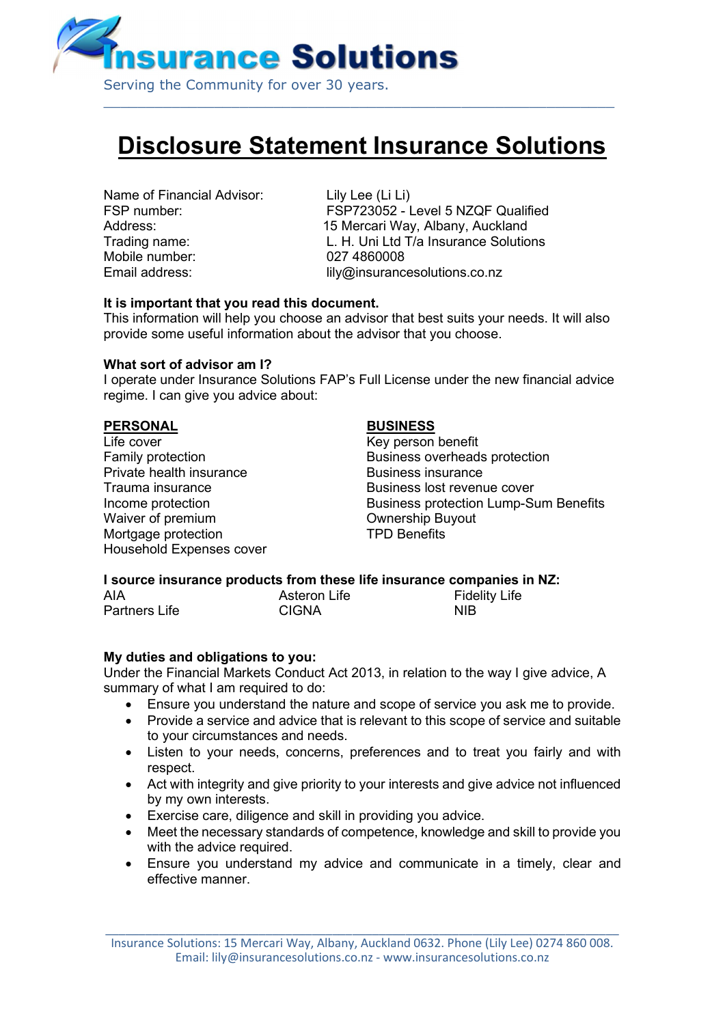

# Disclosure Statement Insurance Solutions

Name of Financial Advisor: Lily Lee (Li Li) Mobile number: 027 4860008

FSP number: FSP723052 - Level 5 NZQF Qualified Address: Mathematic Mercari Way, Albany, Auckland Trading name: L. H. Uni Ltd T/a Insurance Solutions Email address: lily@insurancesolutions.co.nz

## It is important that you read this document.

This information will help you choose an advisor that best suits your needs. It will also provide some useful information about the advisor that you choose.

#### What sort of advisor am I?

I operate under Insurance Solutions FAP's Full License under the new financial advice regime. I can give you advice about:

#### PERSONAL BUSINESS

Life cover **Key person benefit** Private health insurance **Business** insurance Waiver of premium **COM** Ownership Buyout Mortgage protection **TPD** Benefits Household Expenses cover

Family protection **Family** protection Trauma insurance Trauma in the Business lost revenue cover Income protection **Business protection Lump-Sum Benefits** 

#### I source insurance products from these life insurance companies in NZ:

AIA **Asteron Life** Fidelity Life Partners Life CIGNA CONTEXT CONTEXT NIB

#### My duties and obligations to you:

Under the Financial Markets Conduct Act 2013, in relation to the way I give advice, A summary of what I am required to do:

- Ensure you understand the nature and scope of service you ask me to provide.
- Provide a service and advice that is relevant to this scope of service and suitable to your circumstances and needs.
- Listen to your needs, concerns, preferences and to treat you fairly and with respect.
- Act with integrity and give priority to your interests and give advice not influenced by my own interests.
- Exercise care, diligence and skill in providing you advice.
- Meet the necessary standards of competence, knowledge and skill to provide you with the advice required.
- Ensure you understand my advice and communicate in a timely, clear and effective manner.

\_\_\_\_\_\_\_\_\_\_\_\_\_\_\_\_\_\_\_\_\_\_\_\_\_\_\_\_\_\_\_\_\_\_\_\_\_\_\_\_\_\_\_\_\_\_\_\_\_\_\_\_\_\_\_\_\_\_\_\_\_\_\_\_\_\_\_\_\_\_\_\_\_\_\_\_\_ Insurance Solutions: 15 Mercari Way, Albany, Auckland 0632. Phone (Lily Lee) 0274 860 008. Email: lily@insurancesolutions.co.nz - www.insurancesolutions.co.nz